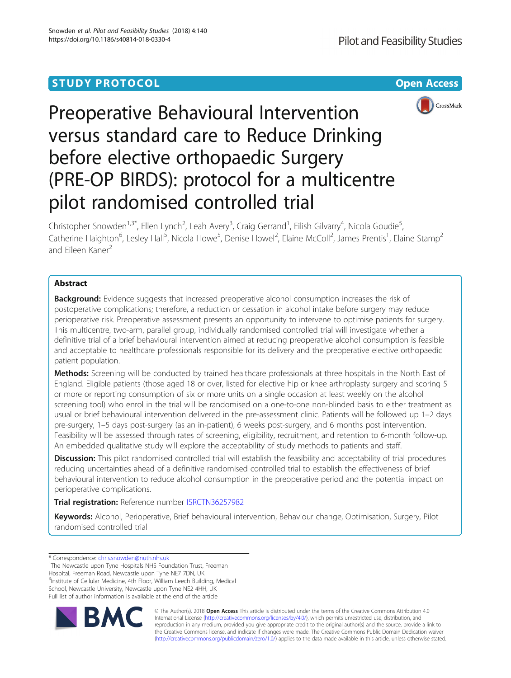## **STUDY PROTOCOL CONSUMING THE CONSUMING OPEN ACCESS**



# Preoperative Behavioural Intervention versus standard care to Reduce Drinking before elective orthopaedic Surgery (PRE-OP BIRDS): protocol for a multicentre pilot randomised controlled trial

Christopher Snowden<sup>1,3\*</sup>, Ellen Lynch<sup>2</sup>, Leah Avery<sup>3</sup>, Craig Gerrand<sup>1</sup>, Eilish Gilvarry<sup>4</sup>, Nicola Goudie<sup>5</sup> , Catherine Haighton<sup>6</sup>, Lesley Hall<sup>5</sup>, Nicola Howe<sup>5</sup>, Denise Howel<sup>2</sup>, Elaine McColl<sup>2</sup>, James Prentis<sup>1</sup>, Elaine Stamp<sup>2</sup> and Fileen Kaner<sup>2</sup>

## Abstract

Background: Evidence suggests that increased preoperative alcohol consumption increases the risk of postoperative complications; therefore, a reduction or cessation in alcohol intake before surgery may reduce perioperative risk. Preoperative assessment presents an opportunity to intervene to optimise patients for surgery. This multicentre, two-arm, parallel group, individually randomised controlled trial will investigate whether a definitive trial of a brief behavioural intervention aimed at reducing preoperative alcohol consumption is feasible and acceptable to healthcare professionals responsible for its delivery and the preoperative elective orthopaedic patient population.

Methods: Screening will be conducted by trained healthcare professionals at three hospitals in the North East of England. Eligible patients (those aged 18 or over, listed for elective hip or knee arthroplasty surgery and scoring 5 or more or reporting consumption of six or more units on a single occasion at least weekly on the alcohol screening tool) who enrol in the trial will be randomised on a one-to-one non-blinded basis to either treatment as usual or brief behavioural intervention delivered in the pre-assessment clinic. Patients will be followed up 1–2 days pre-surgery, 1–5 days post-surgery (as an in-patient), 6 weeks post-surgery, and 6 months post intervention. Feasibility will be assessed through rates of screening, eligibility, recruitment, and retention to 6-month follow-up. An embedded qualitative study will explore the acceptability of study methods to patients and staff.

Discussion: This pilot randomised controlled trial will establish the feasibility and acceptability of trial procedures reducing uncertainties ahead of a definitive randomised controlled trial to establish the effectiveness of brief behavioural intervention to reduce alcohol consumption in the preoperative period and the potential impact on perioperative complications.

Trial registration: Reference number [ISRCTN36257982](http://www.isrctn.com/ISRCTN36257982)

Keywords: Alcohol, Perioperative, Brief behavioural intervention, Behaviour change, Optimisation, Surgery, Pilot randomised controlled trial

<sup>1</sup>The Newcastle upon Tyne Hospitals NHS Foundation Trust, Freeman Hospital, Freeman Road, Newcastle upon Tyne NE7 7DN, UK <sup>3</sup>Institute of Cellular Medicine, 4th Floor, William Leech Building, Medical School, Newcastle University, Newcastle upon Tyne NE2 4HH, UK Full list of author information is available at the end of the article



© The Author(s). 2018 Open Access This article is distributed under the terms of the Creative Commons Attribution 4.0 International License [\(http://creativecommons.org/licenses/by/4.0/](http://creativecommons.org/licenses/by/4.0/)), which permits unrestricted use, distribution, and reproduction in any medium, provided you give appropriate credit to the original author(s) and the source, provide a link to the Creative Commons license, and indicate if changes were made. The Creative Commons Public Domain Dedication waiver [\(http://creativecommons.org/publicdomain/zero/1.0/](http://creativecommons.org/publicdomain/zero/1.0/)) applies to the data made available in this article, unless otherwise stated.

<sup>\*</sup> Correspondence: [chris.snowden@nuth.nhs.uk](mailto:chris.snowden@nuth.nhs.uk) <sup>1</sup>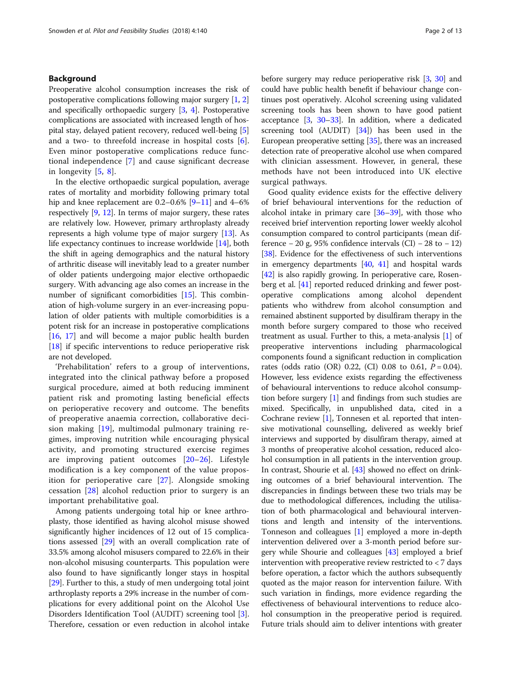## Background

Preoperative alcohol consumption increases the risk of postoperative complications following major surgery [[1,](#page-11-0) [2](#page-11-0)] and specifically orthopaedic surgery [\[3](#page-11-0), [4](#page-11-0)]. Postoperative complications are associated with increased length of hospital stay, delayed patient recovery, reduced well-being [[5](#page-11-0)] and a two- to threefold increase in hospital costs [\[6](#page-11-0)]. Even minor postoperative complications reduce functional independence [\[7](#page-11-0)] and cause significant decrease in longevity [[5,](#page-11-0) [8\]](#page-11-0).

In the elective orthopaedic surgical population, average rates of mortality and morbidity following primary total hip and knee replacement are  $0.2-0.6\%$  [\[9](#page-11-0)–[11\]](#page-11-0) and 4–6% respectively [\[9](#page-11-0), [12](#page-11-0)]. In terms of major surgery, these rates are relatively low. However, primary arthroplasty already represents a high volume type of major surgery [\[13\]](#page-11-0). As life expectancy continues to increase worldwide [\[14](#page-11-0)], both the shift in ageing demographics and the natural history of arthritic disease will inevitably lead to a greater number of older patients undergoing major elective orthopaedic surgery. With advancing age also comes an increase in the number of significant comorbidities [\[15](#page-11-0)]. This combination of high-volume surgery in an ever-increasing population of older patients with multiple comorbidities is a potent risk for an increase in postoperative complications [[16](#page-11-0), [17\]](#page-11-0) and will become a major public health burden [[18](#page-11-0)] if specific interventions to reduce perioperative risk are not developed.

'Prehabilitation' refers to a group of interventions, integrated into the clinical pathway before a proposed surgical procedure, aimed at both reducing imminent patient risk and promoting lasting beneficial effects on perioperative recovery and outcome. The benefits of preoperative anaemia correction, collaborative decision making [[19\]](#page-11-0), multimodal pulmonary training regimes, improving nutrition while encouraging physical activity, and promoting structured exercise regimes are improving patient outcomes [[20](#page-11-0)–[26\]](#page-11-0). Lifestyle modification is a key component of the value proposition for perioperative care [[27\]](#page-11-0). Alongside smoking cessation [[28\]](#page-11-0) alcohol reduction prior to surgery is an important prehabilitative goal.

Among patients undergoing total hip or knee arthroplasty, those identified as having alcohol misuse showed significantly higher incidences of 12 out of 15 complications assessed [\[29](#page-11-0)] with an overall complication rate of 33.5% among alcohol misusers compared to 22.6% in their non-alcohol misusing counterparts. This population were also found to have significantly longer stays in hospital [[29](#page-11-0)]. Further to this, a study of men undergoing total joint arthroplasty reports a 29% increase in the number of complications for every additional point on the Alcohol Use Disorders Identification Tool (AUDIT) screening tool [[3](#page-11-0)]. Therefore, cessation or even reduction in alcohol intake before surgery may reduce perioperative risk [\[3](#page-11-0), [30\]](#page-11-0) and could have public health benefit if behaviour change continues post operatively. Alcohol screening using validated screening tools has been shown to have good patient acceptance [\[3,](#page-11-0) [30](#page-11-0)–[33\]](#page-11-0). In addition, where a dedicated screening tool (AUDIT) [\[34\]](#page-11-0)) has been used in the European preoperative setting [\[35](#page-11-0)], there was an increased detection rate of preoperative alcohol use when compared with clinician assessment. However, in general, these methods have not been introduced into UK elective surgical pathways.

Good quality evidence exists for the effective delivery of brief behavioural interventions for the reduction of alcohol intake in primary care  $[36-39]$  $[36-39]$  $[36-39]$  $[36-39]$  $[36-39]$ , with those who received brief intervention reporting lower weekly alcohol consumption compared to control participants (mean difference  $-20$  g, 95% confidence intervals (CI)  $-28$  to  $-12$ ) [[38](#page-12-0)]. Evidence for the effectiveness of such interventions in emergency departments [\[40,](#page-12-0) [41\]](#page-12-0) and hospital wards [[42](#page-12-0)] is also rapidly growing. In perioperative care, Rosenberg et al. [[41](#page-12-0)] reported reduced drinking and fewer postoperative complications among alcohol dependent patients who withdrew from alcohol consumption and remained abstinent supported by disulfiram therapy in the month before surgery compared to those who received treatment as usual. Further to this, a meta-analysis [\[1](#page-11-0)] of preoperative interventions including pharmacological components found a significant reduction in complication rates (odds ratio (OR) 0.22, (CI) 0.08 to 0.61,  $P = 0.04$ ). However, less evidence exists regarding the effectiveness of behavioural interventions to reduce alcohol consumption before surgery [\[1](#page-11-0)] and findings from such studies are mixed. Specifically, in unpublished data, cited in a Cochrane review [\[1\]](#page-11-0), Tonnesen et al. reported that intensive motivational counselling, delivered as weekly brief interviews and supported by disulfiram therapy, aimed at 3 months of preoperative alcohol cessation, reduced alcohol consumption in all patients in the intervention group. In contrast, Shourie et al. [\[43\]](#page-12-0) showed no effect on drinking outcomes of a brief behavioural intervention. The discrepancies in findings between these two trials may be due to methodological differences, including the utilisation of both pharmacological and behavioural interventions and length and intensity of the interventions. Tonneson and colleagues [\[1\]](#page-11-0) employed a more in-depth intervention delivered over a 3-month period before surgery while Shourie and colleagues [\[43\]](#page-12-0) employed a brief intervention with preoperative review restricted to < 7 days before operation, a factor which the authors subsequently quoted as the major reason for intervention failure. With such variation in findings, more evidence regarding the effectiveness of behavioural interventions to reduce alcohol consumption in the preoperative period is required. Future trials should aim to deliver intentions with greater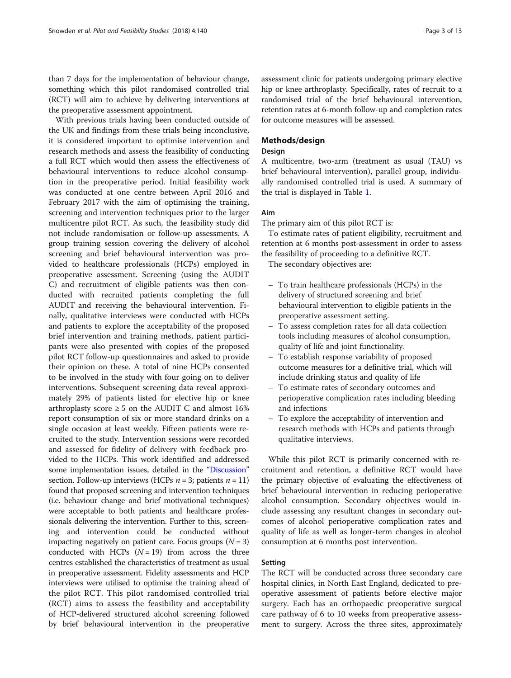than 7 days for the implementation of behaviour change, something which this pilot randomised controlled trial (RCT) will aim to achieve by delivering interventions at the preoperative assessment appointment.

With previous trials having been conducted outside of the UK and findings from these trials being inconclusive, it is considered important to optimise intervention and research methods and assess the feasibility of conducting a full RCT which would then assess the effectiveness of behavioural interventions to reduce alcohol consumption in the preoperative period. Initial feasibility work was conducted at one centre between April 2016 and February 2017 with the aim of optimising the training, screening and intervention techniques prior to the larger multicentre pilot RCT. As such, the feasibility study did not include randomisation or follow-up assessments. A group training session covering the delivery of alcohol screening and brief behavioural intervention was provided to healthcare professionals (HCPs) employed in preoperative assessment. Screening (using the AUDIT C) and recruitment of eligible patients was then conducted with recruited patients completing the full AUDIT and receiving the behavioural intervention. Finally, qualitative interviews were conducted with HCPs and patients to explore the acceptability of the proposed brief intervention and training methods, patient participants were also presented with copies of the proposed pilot RCT follow-up questionnaires and asked to provide their opinion on these. A total of nine HCPs consented to be involved in the study with four going on to deliver interventions. Subsequent screening data reveal approximately 29% of patients listed for elective hip or knee arthroplasty score  $\geq 5$  on the AUDIT C and almost 16% report consumption of six or more standard drinks on a single occasion at least weekly. Fifteen patients were recruited to the study. Intervention sessions were recorded and assessed for fidelity of delivery with feedback provided to the HCPs. This work identified and addressed some implementation issues, detailed in the "[Discussion](#page-9-0)" section. Follow-up interviews (HCPs  $n = 3$ ; patients  $n = 11$ ) found that proposed screening and intervention techniques (i.e. behaviour change and brief motivational techniques) were acceptable to both patients and healthcare professionals delivering the intervention. Further to this, screening and intervention could be conducted without impacting negatively on patient care. Focus groups  $(N = 3)$ conducted with HCPs  $(N = 19)$  from across the three centres established the characteristics of treatment as usual in preoperative assessment. Fidelity assessments and HCP interviews were utilised to optimise the training ahead of the pilot RCT. This pilot randomised controlled trial (RCT) aims to assess the feasibility and acceptability of HCP-delivered structured alcohol screening followed by brief behavioural intervention in the preoperative assessment clinic for patients undergoing primary elective hip or knee arthroplasty. Specifically, rates of recruit to a randomised trial of the brief behavioural intervention, retention rates at 6-month follow-up and completion rates for outcome measures will be assessed.

## Methods/design

## Design

A multicentre, two-arm (treatment as usual (TAU) vs brief behavioural intervention), parallel group, individually randomised controlled trial is used. A summary of the trial is displayed in Table [1.](#page-3-0)

## Aim

The primary aim of this pilot RCT is:

To estimate rates of patient eligibility, recruitment and retention at 6 months post-assessment in order to assess the feasibility of proceeding to a definitive RCT.

The secondary objectives are:

- To train healthcare professionals (HCPs) in the delivery of structured screening and brief behavioural intervention to eligible patients in the preoperative assessment setting.
- To assess completion rates for all data collection tools including measures of alcohol consumption, quality of life and joint functionality.
- To establish response variability of proposed outcome measures for a definitive trial, which will include drinking status and quality of life
- To estimate rates of secondary outcomes and perioperative complication rates including bleeding and infections
- To explore the acceptability of intervention and research methods with HCPs and patients through qualitative interviews.

While this pilot RCT is primarily concerned with recruitment and retention, a definitive RCT would have the primary objective of evaluating the effectiveness of brief behavioural intervention in reducing perioperative alcohol consumption. Secondary objectives would include assessing any resultant changes in secondary outcomes of alcohol perioperative complication rates and quality of life as well as longer-term changes in alcohol consumption at 6 months post intervention.

## Setting

The RCT will be conducted across three secondary care hospital clinics, in North East England, dedicated to preoperative assessment of patients before elective major surgery. Each has an orthopaedic preoperative surgical care pathway of 6 to 10 weeks from preoperative assessment to surgery. Across the three sites, approximately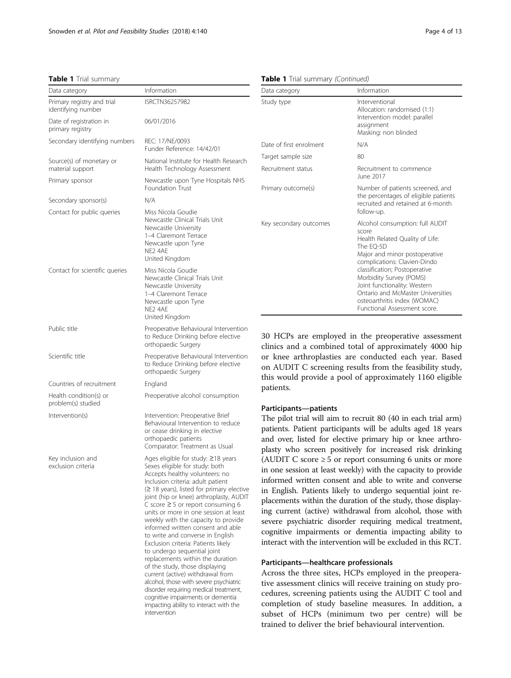## <span id="page-3-0"></span>Table 1 Trial summary

Table 1 Trial summary (Continued)

| Data category                                    | Information                                                                                                                                                                                                                                                                                                                                                                                                                                                                                                                                                                                             | Data category                                                                                                                                                                                                                                                                                                                                                                                                                                                                                                                                                                                                  | Information                                                                                                                                                                                   |  |  |  |
|--------------------------------------------------|---------------------------------------------------------------------------------------------------------------------------------------------------------------------------------------------------------------------------------------------------------------------------------------------------------------------------------------------------------------------------------------------------------------------------------------------------------------------------------------------------------------------------------------------------------------------------------------------------------|----------------------------------------------------------------------------------------------------------------------------------------------------------------------------------------------------------------------------------------------------------------------------------------------------------------------------------------------------------------------------------------------------------------------------------------------------------------------------------------------------------------------------------------------------------------------------------------------------------------|-----------------------------------------------------------------------------------------------------------------------------------------------------------------------------------------------|--|--|--|
| Primary registry and trial<br>identifying number | ISRCTN36257982                                                                                                                                                                                                                                                                                                                                                                                                                                                                                                                                                                                          | Study type                                                                                                                                                                                                                                                                                                                                                                                                                                                                                                                                                                                                     | Interventional<br>Allocation: randomised (1:1)<br>Intervention model: parallel<br>assignment<br>Masking: non blinded                                                                          |  |  |  |
| Date of registration in<br>primary registry      | 06/01/2016                                                                                                                                                                                                                                                                                                                                                                                                                                                                                                                                                                                              |                                                                                                                                                                                                                                                                                                                                                                                                                                                                                                                                                                                                                |                                                                                                                                                                                               |  |  |  |
| Secondary identifying numbers                    | REC: 17/NE/0093<br>Funder Reference: 14/42/01                                                                                                                                                                                                                                                                                                                                                                                                                                                                                                                                                           | Date of first enrolment                                                                                                                                                                                                                                                                                                                                                                                                                                                                                                                                                                                        | N/A                                                                                                                                                                                           |  |  |  |
| Source(s) of monetary or                         | National Institute for Health Research                                                                                                                                                                                                                                                                                                                                                                                                                                                                                                                                                                  | Target sample size                                                                                                                                                                                                                                                                                                                                                                                                                                                                                                                                                                                             | 80                                                                                                                                                                                            |  |  |  |
| material support                                 | Health Technology Assessment                                                                                                                                                                                                                                                                                                                                                                                                                                                                                                                                                                            | Recruitment status                                                                                                                                                                                                                                                                                                                                                                                                                                                                                                                                                                                             | Recruitment to commence<br>June 2017                                                                                                                                                          |  |  |  |
| Primary sponsor                                  | Newcastle upon Tyne Hospitals NHS<br><b>Foundation Trust</b>                                                                                                                                                                                                                                                                                                                                                                                                                                                                                                                                            | Primary outcome(s)                                                                                                                                                                                                                                                                                                                                                                                                                                                                                                                                                                                             | Number of patients screened, and                                                                                                                                                              |  |  |  |
| Secondary sponsor(s)                             | N/A                                                                                                                                                                                                                                                                                                                                                                                                                                                                                                                                                                                                     |                                                                                                                                                                                                                                                                                                                                                                                                                                                                                                                                                                                                                | the percentages of eligible patients<br>recruited and retained at 6-month                                                                                                                     |  |  |  |
| Contact for public queries                       | Miss Nicola Goudie<br>Newcastle Clinical Trials Unit<br>Newcastle University<br>1-4 Claremont Terrace<br>Newcastle upon Tyne<br>NE2 4AE<br>United Kingdom                                                                                                                                                                                                                                                                                                                                                                                                                                               | Key secondary outcomes                                                                                                                                                                                                                                                                                                                                                                                                                                                                                                                                                                                         | follow-up.<br>Alcohol consumption: full AUDIT<br>score<br>Health Related Quality of Life:<br>The EQ-5D<br>Major and minor postoperative<br>complications: Clavien-Dindo                       |  |  |  |
| Contact for scientific queries                   | Miss Nicola Goudie<br>Newcastle Clinical Trials Unit<br>Newcastle University<br>1-4 Claremont Terrace<br>Newcastle upon Tyne<br>NE2 4AE<br>United Kingdom                                                                                                                                                                                                                                                                                                                                                                                                                                               |                                                                                                                                                                                                                                                                                                                                                                                                                                                                                                                                                                                                                | classification; Postoperative<br>Morbidity Survey (POMS)<br>Joint functionality: Western<br>Ontario and McMaster Universities<br>osteoarthritis index (WOMAC)<br>Functional Assessment score. |  |  |  |
| Public title                                     | Preoperative Behavioural Intervention<br>to Reduce Drinking before elective<br>orthopaedic Surgery                                                                                                                                                                                                                                                                                                                                                                                                                                                                                                      | 30 HCPs are employed in the preoperative assessment<br>clinics and a combined total of approximately 4000 hip                                                                                                                                                                                                                                                                                                                                                                                                                                                                                                  |                                                                                                                                                                                               |  |  |  |
| Scientific title                                 | Preoperative Behavioural Intervention<br>to Reduce Drinking before elective<br>orthopaedic Surgery                                                                                                                                                                                                                                                                                                                                                                                                                                                                                                      | or knee arthroplasties are conducted each year. Based<br>on AUDIT C screening results from the feasibility study,                                                                                                                                                                                                                                                                                                                                                                                                                                                                                              |                                                                                                                                                                                               |  |  |  |
| Countries of recruitment                         | England                                                                                                                                                                                                                                                                                                                                                                                                                                                                                                                                                                                                 | this would provide a pool of approximately 1160 eligible<br>patients.                                                                                                                                                                                                                                                                                                                                                                                                                                                                                                                                          |                                                                                                                                                                                               |  |  |  |
| Health condition(s) or<br>problem(s) studied     | Preoperative alcohol consumption                                                                                                                                                                                                                                                                                                                                                                                                                                                                                                                                                                        |                                                                                                                                                                                                                                                                                                                                                                                                                                                                                                                                                                                                                |                                                                                                                                                                                               |  |  |  |
| Intervention(s)                                  | Intervention: Preoperative Brief<br>Behavioural Intervention to reduce<br>or cease drinking in elective<br>orthopaedic patients<br>Comparator: Treatment as Usual                                                                                                                                                                                                                                                                                                                                                                                                                                       | Participants-patients<br>The pilot trial will aim to recruit 80 (40 in each trial arm)<br>patients. Patient participants will be adults aged 18 years<br>and over, listed for elective primary hip or knee arthro-<br>plasty who screen positively for increased risk drinking                                                                                                                                                                                                                                                                                                                                 |                                                                                                                                                                                               |  |  |  |
| Key inclusion and<br>exclusion criteria          | Ages eligible for study: $\geq$ 18 years<br>Sexes eligible for study: both<br>Accepts healthy volunteers: no<br>Inclusion criteria: adult patient<br>$( \geq 18 \text{ years})$ , listed for primary elective<br>joint (hip or knee) arthroplasty, AUDIT<br>C score $\geq$ 5 or report consuming 6<br>units or more in one session at least<br>weekly with the capacity to provide<br>informed written consent and able<br>to write and converse in English<br>Exclusion criteria: Patients likely<br>to undergo sequential joint<br>replacements within the duration<br>of the study, those displaying | (AUDIT C score $\geq 5$ or report consuming 6 units or more<br>in one session at least weekly) with the capacity to provide<br>informed written consent and able to write and converse<br>in English. Patients likely to undergo sequential joint re-<br>placements within the duration of the study, those display-<br>ing current (active) withdrawal from alcohol, those with<br>severe psychiatric disorder requiring medical treatment<br>cognitive impairments or dementia impacting ability to<br>interact with the intervention will be excluded in this RCT.<br>Participants-healthcare professionals |                                                                                                                                                                                               |  |  |  |

current (active) withdrawal from alcohol, those with severe psychiatric disorder requiring medical treatment, cognitive impairments or dementia impacting ability to interact with the

intervention

Across the three sites, HCPs employed in the preoperative assessment clinics will receive training on study procedures, screening patients using the AUDIT C tool and completion of study baseline measures. In addition, a subset of HCPs (minimum two per centre) will be trained to deliver the brief behavioural intervention.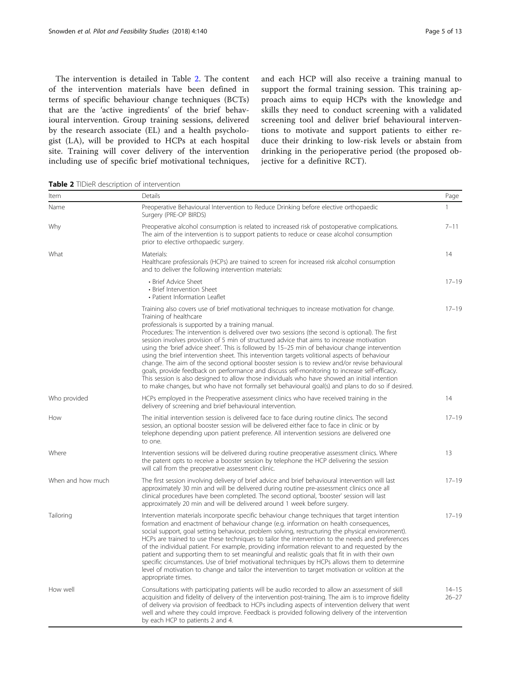The intervention is detailed in Table 2. The content of the intervention materials have been defined in terms of specific behaviour change techniques (BCTs) that are the 'active ingredients' of the brief behavioural intervention. Group training sessions, delivered by the research associate (EL) and a health psychologist (LA), will be provided to HCPs at each hospital site. Training will cover delivery of the intervention including use of specific brief motivational techniques, and each HCP will also receive a training manual to support the formal training session. This training approach aims to equip HCPs with the knowledge and skills they need to conduct screening with a validated screening tool and deliver brief behavioural interventions to motivate and support patients to either reduce their drinking to low-risk levels or abstain from drinking in the perioperative period (the proposed objective for a definitive RCT).

Table 2 TIDieR description of intervention

| Item              | Details                                                                                                                                                                                                                                                                                                                                                                                                                                                                                                                                                                                                                                                                                                                                                                                                                                                                                                                                                                               | Page                   |  |  |
|-------------------|---------------------------------------------------------------------------------------------------------------------------------------------------------------------------------------------------------------------------------------------------------------------------------------------------------------------------------------------------------------------------------------------------------------------------------------------------------------------------------------------------------------------------------------------------------------------------------------------------------------------------------------------------------------------------------------------------------------------------------------------------------------------------------------------------------------------------------------------------------------------------------------------------------------------------------------------------------------------------------------|------------------------|--|--|
| Name              | Preoperative Behavioural Intervention to Reduce Drinking before elective orthopaedic<br>Surgery (PRE-OP BIRDS)                                                                                                                                                                                                                                                                                                                                                                                                                                                                                                                                                                                                                                                                                                                                                                                                                                                                        |                        |  |  |
| Why               | Preoperative alcohol consumption is related to increased risk of postoperative complications.<br>The aim of the intervention is to support patients to reduce or cease alcohol consumption<br>prior to elective orthopaedic surgery.                                                                                                                                                                                                                                                                                                                                                                                                                                                                                                                                                                                                                                                                                                                                                  |                        |  |  |
| What              | Materials:<br>Healthcare professionals (HCPs) are trained to screen for increased risk alcohol consumption<br>and to deliver the following intervention materials:                                                                                                                                                                                                                                                                                                                                                                                                                                                                                                                                                                                                                                                                                                                                                                                                                    |                        |  |  |
|                   | • Brief Advice Sheet<br>• Brief Intervention Sheet<br>• Patient Information Leaflet                                                                                                                                                                                                                                                                                                                                                                                                                                                                                                                                                                                                                                                                                                                                                                                                                                                                                                   | $17 - 19$              |  |  |
|                   | Training also covers use of brief motivational techniques to increase motivation for change.<br>Training of healthcare<br>professionals is supported by a training manual.<br>Procedures: The intervention is delivered over two sessions (the second is optional). The first<br>session involves provision of 5 min of structured advice that aims to increase motivation<br>using the 'brief advice sheet'. This is followed by 15-25 min of behaviour change intervention<br>using the brief intervention sheet. This intervention targets volitional aspects of behaviour<br>change. The aim of the second optional booster session is to review and/or revise behavioural<br>goals, provide feedback on performance and discuss self-monitoring to increase self-efficacy.<br>This session is also designed to allow those individuals who have showed an initial intention<br>to make changes, but who have not formally set behavioural goal(s) and plans to do so if desired. |                        |  |  |
| Who provided      | HCPs employed in the Preoperative assessment clinics who have received training in the<br>delivery of screening and brief behavioural intervention.                                                                                                                                                                                                                                                                                                                                                                                                                                                                                                                                                                                                                                                                                                                                                                                                                                   | 14                     |  |  |
| How               | The initial intervention session is delivered face to face during routine clinics. The second<br>session, an optional booster session will be delivered either face to face in clinic or by<br>telephone depending upon patient preference. All intervention sessions are delivered one<br>to one.                                                                                                                                                                                                                                                                                                                                                                                                                                                                                                                                                                                                                                                                                    |                        |  |  |
| Where             | Intervention sessions will be delivered during routine preoperative assessment clinics. Where<br>the patent opts to receive a booster session by telephone the HCP delivering the session<br>will call from the preoperative assessment clinic.                                                                                                                                                                                                                                                                                                                                                                                                                                                                                                                                                                                                                                                                                                                                       |                        |  |  |
| When and how much | The first session involving delivery of brief advice and brief behavioural intervention will last<br>approximately 30 min and will be delivered during routine pre-assessment clinics once all<br>clinical procedures have been completed. The second optional, 'booster' session will last<br>approximately 20 min and will be delivered around 1 week before surgery.                                                                                                                                                                                                                                                                                                                                                                                                                                                                                                                                                                                                               |                        |  |  |
| Tailoring         | Intervention materials incorporate specific behaviour change techniques that target intention<br>formation and enactment of behaviour change (e.g. information on health consequences,<br>social support, goal setting behaviour, problem solving, restructuring the physical environment).<br>HCPs are trained to use these techniques to tailor the intervention to the needs and preferences<br>of the individual patient. For example, providing information relevant to and requested by the<br>patient and supporting them to set meaningful and realistic goals that fit in with their own<br>specific circumstances. Use of brief motivational techniques by HCPs allows them to determine<br>level of motivation to change and tailor the intervention to target motivation or volition at the<br>appropriate times.                                                                                                                                                         | $17 - 19$              |  |  |
| How well          | Consultations with participating patients will be audio recorded to allow an assessment of skill<br>acquisition and fidelity of delivery of the intervention post-training. The aim is to improve fidelity<br>of delivery via provision of feedback to HCPs including aspects of intervention delivery that went<br>well and where they could improve. Feedback is provided following delivery of the intervention<br>by each HCP to patients 2 and 4.                                                                                                                                                                                                                                                                                                                                                                                                                                                                                                                                | $14 - 15$<br>$26 - 27$ |  |  |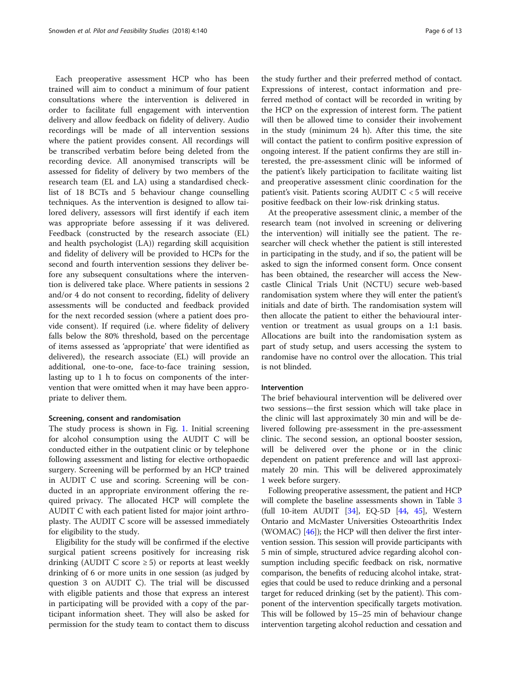Each preoperative assessment HCP who has been trained will aim to conduct a minimum of four patient consultations where the intervention is delivered in order to facilitate full engagement with intervention delivery and allow feedback on fidelity of delivery. Audio recordings will be made of all intervention sessions where the patient provides consent. All recordings will be transcribed verbatim before being deleted from the recording device. All anonymised transcripts will be assessed for fidelity of delivery by two members of the research team (EL and LA) using a standardised checklist of 18 BCTs and 5 behaviour change counselling techniques. As the intervention is designed to allow tailored delivery, assessors will first identify if each item was appropriate before assessing if it was delivered. Feedback (constructed by the research associate (EL) and health psychologist (LA)) regarding skill acquisition and fidelity of delivery will be provided to HCPs for the second and fourth intervention sessions they deliver before any subsequent consultations where the intervention is delivered take place. Where patients in sessions 2 and/or 4 do not consent to recording, fidelity of delivery assessments will be conducted and feedback provided for the next recorded session (where a patient does provide consent). If required (i.e. where fidelity of delivery falls below the 80% threshold, based on the percentage of items assessed as 'appropriate' that were identified as delivered), the research associate (EL) will provide an additional, one-to-one, face-to-face training session, lasting up to 1 h to focus on components of the intervention that were omitted when it may have been appropriate to deliver them.

#### Screening, consent and randomisation

The study process is shown in Fig. [1.](#page-6-0) Initial screening for alcohol consumption using the AUDIT C will be conducted either in the outpatient clinic or by telephone following assessment and listing for elective orthopaedic surgery. Screening will be performed by an HCP trained in AUDIT C use and scoring. Screening will be conducted in an appropriate environment offering the required privacy. The allocated HCP will complete the AUDIT C with each patient listed for major joint arthroplasty. The AUDIT C score will be assessed immediately for eligibility to the study.

Eligibility for the study will be confirmed if the elective surgical patient screens positively for increasing risk drinking (AUDIT C score  $\geq$  5) or reports at least weekly drinking of 6 or more units in one session (as judged by question 3 on AUDIT C). The trial will be discussed with eligible patients and those that express an interest in participating will be provided with a copy of the participant information sheet. They will also be asked for permission for the study team to contact them to discuss

the study further and their preferred method of contact. Expressions of interest, contact information and preferred method of contact will be recorded in writing by the HCP on the expression of interest form. The patient will then be allowed time to consider their involvement in the study (minimum 24 h). After this time, the site will contact the patient to confirm positive expression of ongoing interest. If the patient confirms they are still interested, the pre-assessment clinic will be informed of the patient's likely participation to facilitate waiting list and preoperative assessment clinic coordination for the patient's visit. Patients scoring AUDIT C < 5 will receive positive feedback on their low-risk drinking status.

At the preoperative assessment clinic, a member of the research team (not involved in screening or delivering the intervention) will initially see the patient. The researcher will check whether the patient is still interested in participating in the study, and if so, the patient will be asked to sign the informed consent form. Once consent has been obtained, the researcher will access the Newcastle Clinical Trials Unit (NCTU) secure web-based randomisation system where they will enter the patient's initials and date of birth. The randomisation system will then allocate the patient to either the behavioural intervention or treatment as usual groups on a 1:1 basis. Allocations are built into the randomisation system as part of study setup, and users accessing the system to randomise have no control over the allocation. This trial is not blinded.

## Intervention

The brief behavioural intervention will be delivered over two sessions—the first session which will take place in the clinic will last approximately 30 min and will be delivered following pre-assessment in the pre-assessment clinic. The second session, an optional booster session, will be delivered over the phone or in the clinic dependent on patient preference and will last approximately 20 min. This will be delivered approximately 1 week before surgery.

Following preoperative assessment, the patient and HCP will complete the baseline assessments shown in Table [3](#page-7-0) (full 10-item AUDIT [\[34\]](#page-11-0), EQ-5D [[44](#page-12-0), [45\]](#page-12-0), Western Ontario and McMaster Universities Osteoarthritis Index (WOMAC)  $[46]$  $[46]$  $[46]$ ; the HCP will then deliver the first intervention session. This session will provide participants with 5 min of simple, structured advice regarding alcohol consumption including specific feedback on risk, normative comparison, the benefits of reducing alcohol intake, strategies that could be used to reduce drinking and a personal target for reduced drinking (set by the patient). This component of the intervention specifically targets motivation. This will be followed by 15–25 min of behaviour change intervention targeting alcohol reduction and cessation and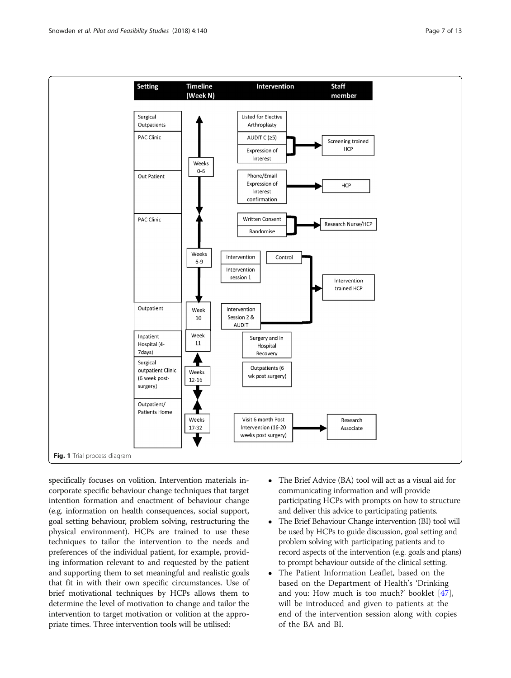<span id="page-6-0"></span>

specifically focuses on volition. Intervention materials incorporate specific behaviour change techniques that target intention formation and enactment of behaviour change (e.g. information on health consequences, social support, goal setting behaviour, problem solving, restructuring the physical environment). HCPs are trained to use these techniques to tailor the intervention to the needs and preferences of the individual patient, for example, providing information relevant to and requested by the patient and supporting them to set meaningful and realistic goals that fit in with their own specific circumstances. Use of brief motivational techniques by HCPs allows them to determine the level of motivation to change and tailor the intervention to target motivation or volition at the appropriate times. Three intervention tools will be utilised:

- The Brief Advice (BA) tool will act as a visual aid for communicating information and will provide participating HCPs with prompts on how to structure and deliver this advice to participating patients.
- The Brief Behaviour Change intervention (BI) tool will be used by HCPs to guide discussion, goal setting and problem solving with participating patients and to record aspects of the intervention (e.g. goals and plans) to prompt behaviour outside of the clinical setting.
- The Patient Information Leaflet, based on the based on the Department of Health's 'Drinking and you: How much is too much?' booklet [[47](#page-12-0)], will be introduced and given to patients at the end of the intervention session along with copies of the BA and BI.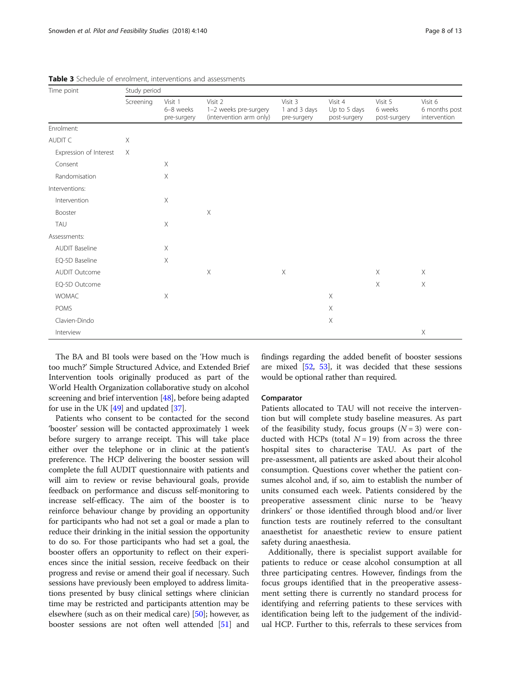| Time point             | Study period |                                     |                                                             |                                        |                                         |                                    |                                          |  |
|------------------------|--------------|-------------------------------------|-------------------------------------------------------------|----------------------------------------|-----------------------------------------|------------------------------------|------------------------------------------|--|
|                        | Screening    | Visit 1<br>6-8 weeks<br>pre-surgery | Visit 2<br>1-2 weeks pre-surgery<br>(intervention arm only) | Visit 3<br>1 and 3 days<br>pre-surgery | Visit 4<br>Up to 5 days<br>post-surgery | Visit 5<br>6 weeks<br>post-surgery | Visit 6<br>6 months post<br>intervention |  |
| Enrolment:             |              |                                     |                                                             |                                        |                                         |                                    |                                          |  |
| AUDIT C                | $\mathsf X$  |                                     |                                                             |                                        |                                         |                                    |                                          |  |
| Expression of Interest | $\times$     |                                     |                                                             |                                        |                                         |                                    |                                          |  |
| Consent                |              | Χ                                   |                                                             |                                        |                                         |                                    |                                          |  |
| Randomisation          |              | $\times$                            |                                                             |                                        |                                         |                                    |                                          |  |
| Interventions:         |              |                                     |                                                             |                                        |                                         |                                    |                                          |  |
| Intervention           |              | Χ                                   |                                                             |                                        |                                         |                                    |                                          |  |
| Booster                |              |                                     | Χ                                                           |                                        |                                         |                                    |                                          |  |
| TAU                    |              | Χ                                   |                                                             |                                        |                                         |                                    |                                          |  |
| Assessments:           |              |                                     |                                                             |                                        |                                         |                                    |                                          |  |
| <b>AUDIT Baseline</b>  |              | Χ                                   |                                                             |                                        |                                         |                                    |                                          |  |
| EQ-5D Baseline         |              | Χ                                   |                                                             |                                        |                                         |                                    |                                          |  |
| AUDIT Outcome          |              |                                     | Χ                                                           | $\mathsf X$                            |                                         | $\boldsymbol{\mathsf{X}}$          | $\boldsymbol{\mathsf{X}}$                |  |
| EQ-5D Outcome          |              |                                     |                                                             |                                        |                                         | $\times$                           | $\times$                                 |  |
| <b>WOMAC</b>           |              | Χ                                   |                                                             |                                        | $\times$                                |                                    |                                          |  |
| POMS                   |              |                                     |                                                             |                                        | X                                       |                                    |                                          |  |
| Clavien-Dindo          |              |                                     |                                                             |                                        | $\times$                                |                                    |                                          |  |
| Interview              |              |                                     |                                                             |                                        |                                         |                                    | Χ                                        |  |

<span id="page-7-0"></span>Table 3 Schedule of enrolment, interventions and assessments

The BA and BI tools were based on the 'How much is too much?' Simple Structured Advice, and Extended Brief Intervention tools originally produced as part of the World Health Organization collaborative study on alcohol screening and brief intervention [[48\]](#page-12-0), before being adapted for use in the UK [[49](#page-12-0)] and updated [\[37\]](#page-12-0).

Patients who consent to be contacted for the second 'booster' session will be contacted approximately 1 week before surgery to arrange receipt. This will take place either over the telephone or in clinic at the patient's preference. The HCP delivering the booster session will complete the full AUDIT questionnaire with patients and will aim to review or revise behavioural goals, provide feedback on performance and discuss self-monitoring to increase self-efficacy. The aim of the booster is to reinforce behaviour change by providing an opportunity for participants who had not set a goal or made a plan to reduce their drinking in the initial session the opportunity to do so. For those participants who had set a goal, the booster offers an opportunity to reflect on their experiences since the initial session, receive feedback on their progress and revise or amend their goal if necessary. Such sessions have previously been employed to address limitations presented by busy clinical settings where clinician time may be restricted and participants attention may be elsewhere (such as on their medical care) [\[50\]](#page-12-0); however, as booster sessions are not often well attended [\[51](#page-12-0)] and

findings regarding the added benefit of booster sessions are mixed  $[52, 53]$  $[52, 53]$  $[52, 53]$ , it was decided that these sessions would be optional rather than required.

## Comparator

Patients allocated to TAU will not receive the intervention but will complete study baseline measures. As part of the feasibility study, focus groups  $(N = 3)$  were conducted with HCPs (total  $N = 19$ ) from across the three hospital sites to characterise TAU. As part of the pre-assessment, all patients are asked about their alcohol consumption. Questions cover whether the patient consumes alcohol and, if so, aim to establish the number of units consumed each week. Patients considered by the preoperative assessment clinic nurse to be 'heavy drinkers' or those identified through blood and/or liver function tests are routinely referred to the consultant anaesthetist for anaesthetic review to ensure patient safety during anaesthesia.

Additionally, there is specialist support available for patients to reduce or cease alcohol consumption at all three participating centres. However, findings from the focus groups identified that in the preoperative assessment setting there is currently no standard process for identifying and referring patients to these services with identification being left to the judgement of the individual HCP. Further to this, referrals to these services from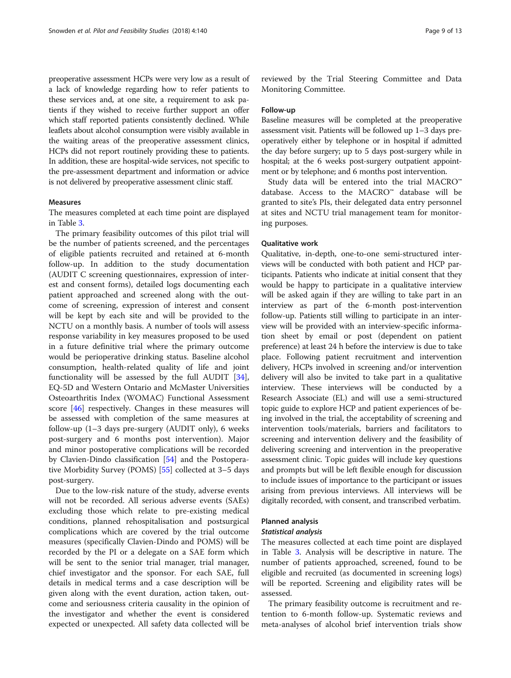preoperative assessment HCPs were very low as a result of a lack of knowledge regarding how to refer patients to these services and, at one site, a requirement to ask patients if they wished to receive further support an offer which staff reported patients consistently declined. While leaflets about alcohol consumption were visibly available in the waiting areas of the preoperative assessment clinics, HCPs did not report routinely providing these to patients. In addition, these are hospital-wide services, not specific to the pre-assessment department and information or advice is not delivered by preoperative assessment clinic staff.

#### Measures

The measures completed at each time point are displayed in Table [3](#page-7-0).

The primary feasibility outcomes of this pilot trial will be the number of patients screened, and the percentages of eligible patients recruited and retained at 6-month follow-up. In addition to the study documentation (AUDIT C screening questionnaires, expression of interest and consent forms), detailed logs documenting each patient approached and screened along with the outcome of screening, expression of interest and consent will be kept by each site and will be provided to the NCTU on a monthly basis. A number of tools will assess response variability in key measures proposed to be used in a future definitive trial where the primary outcome would be perioperative drinking status. Baseline alcohol consumption, health-related quality of life and joint functionality will be assessed by the full AUDIT [\[34](#page-11-0)], EQ-5D and Western Ontario and McMaster Universities Osteoarthritis Index (WOMAC) Functional Assessment score [[46](#page-12-0)] respectively. Changes in these measures will be assessed with completion of the same measures at follow-up (1–3 days pre-surgery (AUDIT only), 6 weeks post-surgery and 6 months post intervention). Major and minor postoperative complications will be recorded by Clavien-Dindo classification [\[54](#page-12-0)] and the Postoperative Morbidity Survey (POMS) [\[55](#page-12-0)] collected at 3–5 days post-surgery.

Due to the low-risk nature of the study, adverse events will not be recorded. All serious adverse events (SAEs) excluding those which relate to pre-existing medical conditions, planned rehospitalisation and postsurgical complications which are covered by the trial outcome measures (specifically Clavien-Dindo and POMS) will be recorded by the PI or a delegate on a SAE form which will be sent to the senior trial manager, trial manager, chief investigator and the sponsor. For each SAE, full details in medical terms and a case description will be given along with the event duration, action taken, outcome and seriousness criteria causality in the opinion of the investigator and whether the event is considered expected or unexpected. All safety data collected will be

reviewed by the Trial Steering Committee and Data Monitoring Committee.

#### Follow-up

Baseline measures will be completed at the preoperative assessment visit. Patients will be followed up 1–3 days preoperatively either by telephone or in hospital if admitted the day before surgery; up to 5 days post-surgery while in hospital; at the 6 weeks post-surgery outpatient appointment or by telephone; and 6 months post intervention.

Study data will be entered into the trial MACRO™ database. Access to the MACRO™ database will be granted to site's PIs, their delegated data entry personnel at sites and NCTU trial management team for monitoring purposes.

## Qualitative work

Qualitative, in-depth, one-to-one semi-structured interviews will be conducted with both patient and HCP participants. Patients who indicate at initial consent that they would be happy to participate in a qualitative interview will be asked again if they are willing to take part in an interview as part of the 6-month post-intervention follow-up. Patients still willing to participate in an interview will be provided with an interview-specific information sheet by email or post (dependent on patient preference) at least 24 h before the interview is due to take place. Following patient recruitment and intervention delivery, HCPs involved in screening and/or intervention delivery will also be invited to take part in a qualitative interview. These interviews will be conducted by a Research Associate (EL) and will use a semi-structured topic guide to explore HCP and patient experiences of being involved in the trial, the acceptability of screening and intervention tools/materials, barriers and facilitators to screening and intervention delivery and the feasibility of delivering screening and intervention in the preoperative assessment clinic. Topic guides will include key questions and prompts but will be left flexible enough for discussion to include issues of importance to the participant or issues arising from previous interviews. All interviews will be digitally recorded, with consent, and transcribed verbatim.

#### Planned analysis

## Statistical analysis

The measures collected at each time point are displayed in Table [3](#page-7-0). Analysis will be descriptive in nature. The number of patients approached, screened, found to be eligible and recruited (as documented in screening logs) will be reported. Screening and eligibility rates will be assessed.

The primary feasibility outcome is recruitment and retention to 6-month follow-up. Systematic reviews and meta-analyses of alcohol brief intervention trials show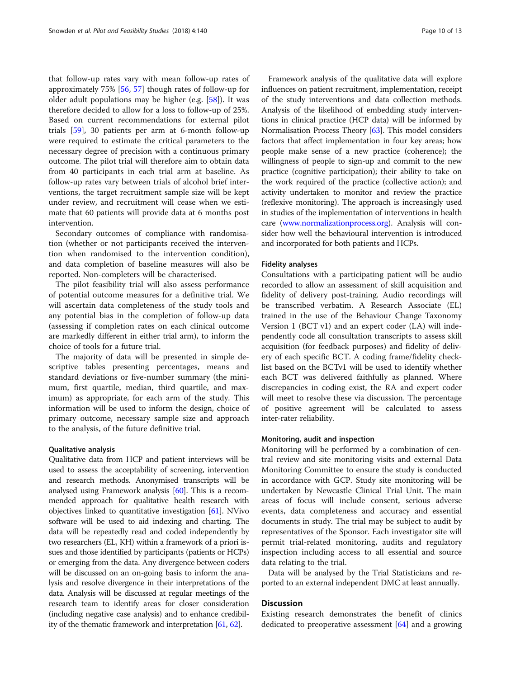<span id="page-9-0"></span>that follow-up rates vary with mean follow-up rates of approximately 75% [[56](#page-12-0), [57](#page-12-0)] though rates of follow-up for older adult populations may be higher (e.g. [\[58](#page-12-0)]). It was therefore decided to allow for a loss to follow-up of 25%. Based on current recommendations for external pilot trials [\[59](#page-12-0)], 30 patients per arm at 6-month follow-up were required to estimate the critical parameters to the necessary degree of precision with a continuous primary outcome. The pilot trial will therefore aim to obtain data from 40 participants in each trial arm at baseline. As follow-up rates vary between trials of alcohol brief interventions, the target recruitment sample size will be kept under review, and recruitment will cease when we estimate that 60 patients will provide data at 6 months post intervention.

Secondary outcomes of compliance with randomisation (whether or not participants received the intervention when randomised to the intervention condition), and data completion of baseline measures will also be reported. Non-completers will be characterised.

The pilot feasibility trial will also assess performance of potential outcome measures for a definitive trial. We will ascertain data completeness of the study tools and any potential bias in the completion of follow-up data (assessing if completion rates on each clinical outcome are markedly different in either trial arm), to inform the choice of tools for a future trial.

The majority of data will be presented in simple descriptive tables presenting percentages, means and standard deviations or five-number summary (the minimum, first quartile, median, third quartile, and maximum) as appropriate, for each arm of the study. This information will be used to inform the design, choice of primary outcome, necessary sample size and approach to the analysis, of the future definitive trial.

## Qualitative analysis

Qualitative data from HCP and patient interviews will be used to assess the acceptability of screening, intervention and research methods. Anonymised transcripts will be analysed using Framework analysis [\[60\]](#page-12-0). This is a recommended approach for qualitative health research with objectives linked to quantitative investigation [\[61\]](#page-12-0). NVivo software will be used to aid indexing and charting. The data will be repeatedly read and coded independently by two researchers (EL, KH) within a framework of a priori issues and those identified by participants (patients or HCPs) or emerging from the data. Any divergence between coders will be discussed on an on-going basis to inform the analysis and resolve divergence in their interpretations of the data. Analysis will be discussed at regular meetings of the research team to identify areas for closer consideration (including negative case analysis) and to enhance credibility of the thematic framework and interpretation [\[61](#page-12-0), [62\]](#page-12-0).

Framework analysis of the qualitative data will explore influences on patient recruitment, implementation, receipt of the study interventions and data collection methods. Analysis of the likelihood of embedding study interventions in clinical practice (HCP data) will be informed by Normalisation Process Theory [\[63](#page-12-0)]. This model considers factors that affect implementation in four key areas; how people make sense of a new practice (coherence); the willingness of people to sign-up and commit to the new practice (cognitive participation); their ability to take on the work required of the practice (collective action); and activity undertaken to monitor and review the practice (reflexive monitoring). The approach is increasingly used in studies of the implementation of interventions in health care [\(www.normalizationprocess.org\)](http://www.normalizationprocess.org). Analysis will consider how well the behavioural intervention is introduced and incorporated for both patients and HCPs.

## Fidelity analyses

Consultations with a participating patient will be audio recorded to allow an assessment of skill acquisition and fidelity of delivery post-training. Audio recordings will be transcribed verbatim. A Research Associate (EL) trained in the use of the Behaviour Change Taxonomy Version 1 (BCT v1) and an expert coder (LA) will independently code all consultation transcripts to assess skill acquisition (for feedback purposes) and fidelity of delivery of each specific BCT. A coding frame/fidelity checklist based on the BCTv1 will be used to identify whether each BCT was delivered faithfully as planned. Where discrepancies in coding exist, the RA and expert coder will meet to resolve these via discussion. The percentage of positive agreement will be calculated to assess inter-rater reliability.

## Monitoring, audit and inspection

Monitoring will be performed by a combination of central review and site monitoring visits and external Data Monitoring Committee to ensure the study is conducted in accordance with GCP. Study site monitoring will be undertaken by Newcastle Clinical Trial Unit. The main areas of focus will include consent, serious adverse events, data completeness and accuracy and essential documents in study. The trial may be subject to audit by representatives of the Sponsor. Each investigator site will permit trial-related monitoring, audits and regulatory inspection including access to all essential and source data relating to the trial.

Data will be analysed by the Trial Statisticians and reported to an external independent DMC at least annually.

## **Discussion**

Existing research demonstrates the benefit of clinics dedicated to preoperative assessment [[64](#page-12-0)] and a growing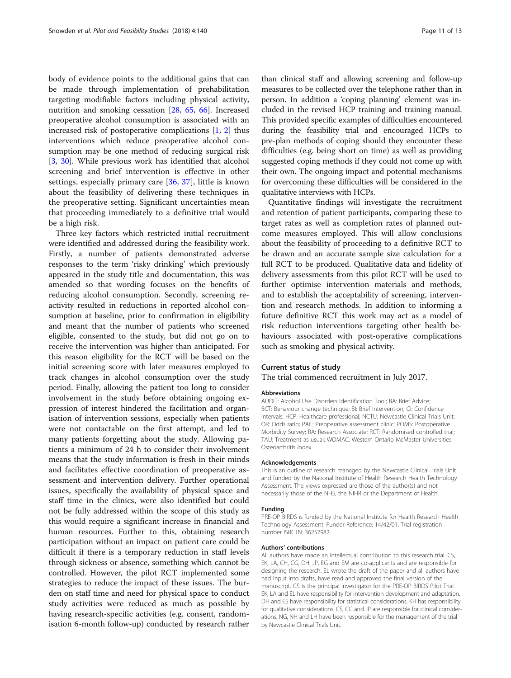body of evidence points to the additional gains that can be made through implementation of prehabilitation targeting modifiable factors including physical activity, nutrition and smoking cessation [[28,](#page-11-0) [65,](#page-12-0) [66\]](#page-12-0). Increased preoperative alcohol consumption is associated with an increased risk of postoperative complications [[1,](#page-11-0) [2](#page-11-0)] thus interventions which reduce preoperative alcohol consumption may be one method of reducing surgical risk [[3,](#page-11-0) [30\]](#page-11-0). While previous work has identified that alcohol screening and brief intervention is effective in other settings, especially primary care [\[36](#page-12-0), [37\]](#page-12-0), little is known about the feasibility of delivering these techniques in the preoperative setting. Significant uncertainties mean that proceeding immediately to a definitive trial would be a high risk.

Three key factors which restricted initial recruitment were identified and addressed during the feasibility work. Firstly, a number of patients demonstrated adverse responses to the term 'risky drinking' which previously appeared in the study title and documentation, this was amended so that wording focuses on the benefits of reducing alcohol consumption. Secondly, screening reactivity resulted in reductions in reported alcohol consumption at baseline, prior to confirmation in eligibility and meant that the number of patients who screened eligible, consented to the study, but did not go on to receive the intervention was higher than anticipated. For this reason eligibility for the RCT will be based on the initial screening score with later measures employed to track changes in alcohol consumption over the study period. Finally, allowing the patient too long to consider involvement in the study before obtaining ongoing expression of interest hindered the facilitation and organisation of intervention sessions, especially when patients were not contactable on the first attempt, and led to many patients forgetting about the study. Allowing patients a minimum of 24 h to consider their involvement means that the study information is fresh in their minds and facilitates effective coordination of preoperative assessment and intervention delivery. Further operational issues, specifically the availability of physical space and staff time in the clinics, were also identified but could not be fully addressed within the scope of this study as this would require a significant increase in financial and human resources. Further to this, obtaining research participation without an impact on patient care could be difficult if there is a temporary reduction in staff levels through sickness or absence, something which cannot be controlled. However, the pilot RCT implemented some strategies to reduce the impact of these issues. The burden on staff time and need for physical space to conduct study activities were reduced as much as possible by having research-specific activities (e.g. consent, randomisation 6-month follow-up) conducted by research rather

than clinical staff and allowing screening and follow-up measures to be collected over the telephone rather than in person. In addition a 'coping planning' element was included in the revised HCP training and training manual. This provided specific examples of difficulties encountered during the feasibility trial and encouraged HCPs to pre-plan methods of coping should they encounter these difficulties (e.g. being short on time) as well as providing suggested coping methods if they could not come up with their own. The ongoing impact and potential mechanisms for overcoming these difficulties will be considered in the qualitative interviews with HCPs.

Quantitative findings will investigate the recruitment and retention of patient participants, comparing these to target rates as well as completion rates of planned outcome measures employed. This will allow conclusions about the feasibility of proceeding to a definitive RCT to be drawn and an accurate sample size calculation for a full RCT to be produced. Qualitative data and fidelity of delivery assessments from this pilot RCT will be used to further optimise intervention materials and methods, and to establish the acceptability of screening, intervention and research methods. In addition to informing a future definitive RCT this work may act as a model of risk reduction interventions targeting other health behaviours associated with post-operative complications such as smoking and physical activity.

#### Current status of study

The trial commenced recruitment in July 2017.

#### Abbreviations

AUDIT: Alcohol Use Disorders Identification Tool; BA: Brief Advice; BCT: Behaviour change technique; BI: Brief Intervention; CI: Confidence intervals; HCP: Healthcare professional; NCTU: Newcastle Clinical Trials Unit; OR: Odds ratio; PAC: Preoperative assessment clinic; POMS: Postoperative Morbidity Survey; RA: Research Associate; RCT: Randomised controlled trial; TAU: Treatment as usual; WOMAC: Western Ontario McMaster Universities Osteoarthritis Index

#### Acknowledgements

This is an outline of research managed by the Newcastle Clinical Trials Unit and funded by the National Institute of Health Research Health Technology Assessment. The views expressed are those of the author(s) and not necessarily those of the NHS, the NIHR or the Department of Health.

#### Funding

PRE-OP BIRDS is funded by the National Institute for Health Research Health Technology Assessment. Funder Reference: 14/42/01. Trial registration number ISRCTN: 36257982.

#### Authors' contributions

All authors have made an intellectual contribution to this research trial. CS, EK, LA, CH, CG, DH, JP, EG and EM are co-applicants and are responsible for designing the research. EL wrote the draft of the paper and all authors have had input into drafts, have read and approved the final version of the manuscript. CS is the principal investigator for the PRE-OP BIRDS Pilot Trial. EK, LA and EL have responsibility for intervention development and adaptation. DH and ES have responsibility for statistical considerations. KH has responsibility for qualitative considerations. CS, CG and JP are responsible for clinical considerations. NG, NH and LH have been responsible for the management of the trial by Newcastle Clinical Trials Unit.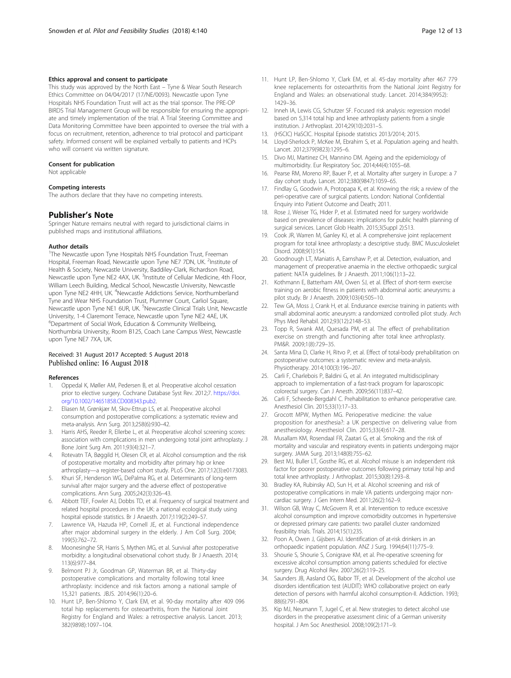#### <span id="page-11-0"></span>Ethics approval and consent to participate

This study was approved by the North East – Tyne & Wear South Research Ethics Committee on 04/04/2017 (17/NE/0093). Newcastle upon Tyne Hospitals NHS Foundation Trust will act as the trial sponsor. The PRE-OP BIRDS Trial Management Group will be responsible for ensuring the appropriate and timely implementation of the trial. A Trial Steering Committee and Data Monitoring Committee have been appointed to oversee the trial with a focus on recruitment, retention, adherence to trial protocol and participant safety. Informed consent will be explained verbally to patients and HCPs who will consent via written signature.

#### Consent for publication

Not applicable

#### Competing interests

The authors declare that they have no competing interests.

## Publisher's Note

Springer Nature remains neutral with regard to jurisdictional claims in published maps and institutional affiliations.

#### Author details

<sup>1</sup>The Newcastle upon Tyne Hospitals NHS Foundation Trust, Freeman Hospital, Freeman Road, Newcastle upon Tyne NE7 7DN, UK. <sup>2</sup>Institute of Health & Society, Newcastle University, Baddiley-Clark, Richardson Road, Newcastle upon Tyne NE2 4AX, UK. <sup>3</sup>Institute of Cellular Medicine, 4th Floor, William Leech Building, Medical School, Newcastle University, Newcastle upon Tyne NE2 4HH, UK. <sup>4</sup>Newcastle Addictions Service, Northumberland Tyne and Wear NHS Foundation Trust, Plummer Court, Carliol Square, Newcastle upon Tyne NE1 6UR, UK. <sup>5</sup>Newcastle Clinical Trials Unit, Newcastle University, 1-4 Claremont Terrace, Newcastle upon Tyne NE2 4AE, UK. 6 Department of Social Work, Education & Community Wellbeing, Northumbria University, Room B125, Coach Lane Campus West, Newcastle upon Tyne NE7 7XA, UK.

## Received: 31 August 2017 Accepted: 5 August 2018 Published online: 16 August 2018

#### References

- 1. Oppedal K, Møller AM, Pedersen B, et al. Preoperative alcohol cessation prior to elective surgery. Cochrane Database Syst Rev. 2012;7. [https://doi.](https://doi.org/10.1002/14651858.CD008343.pub2) [org/10.1002/14651858.CD008343.pub2.](https://doi.org/10.1002/14651858.CD008343.pub2)
- 2. Eliasen M, Grønkjær M, Skov-Ettrup LS, et al. Preoperative alcohol consumption and postoperative complications: a systematic review and meta-analysis. Ann Surg. 2013;258(6):930–42.
- 3. Harris AHS, Reeder R, Ellerbe L, et al. Preoperative alcohol screening scores: association with complications in men undergoing total joint arthroplasty. J Bone Joint Surg Am. 2011;93(4):321–7.
- 4. Rotevatn TA, Bøggild H, Olesen CR, et al. Alcohol consumption and the risk of postoperative mortality and morbidity after primary hip or knee arthroplasty—a register-based cohort study. PLoS One. 2017;12(3):e0173083.
- 5. Khuri SF, Henderson WG, DePalma RG, et al. Determinants of long-term survival after major surgery and the adverse effect of postoperative complications. Ann Surg. 2005;242(3):326–43.
- 6. Abbott TEF, Fowler AJ, Dobbs TD, et al. Frequency of surgical treatment and related hospital procedures in the UK: a national ecological study using hospital episode statistics. Br J Anaesth. 2017;119(2):249–57.
- 7. Lawrence VA, Hazuda HP, Cornell JE, et al. Functional independence after major abdominal surgery in the elderly. J Am Coll Surg. 2004; 199(5):762–72.
- 8. Moonesinghe SR, Harris S, Mythen MG, et al. Survival after postoperative morbidity: a longitudinal observational cohort study. Br J Anaesth. 2014; 113(6):977–84.
- 9. Belmont PJ Jr, Goodman GP, Waterman BR, et al. Thirty-day postoperative complications and mortality following total knee arthroplasty: incidence and risk factors among a national sample of 15,321 patients. JBJS. 2014;96(1):20–6.
- 10. Hunt LP, Ben-Shlomo Y, Clark EM, et al. 90-day mortality after 409 096 total hip replacements for osteoarthritis, from the National Joint Registry for England and Wales: a retrospective analysis. Lancet. 2013; 382(9898):1097–104.
- 11. Hunt LP, Ben-Shlomo Y, Clark EM, et al. 45-day mortality after 467 779 knee replacements for osteoarthritis from the National Joint Registry for England and Wales: an observational study. Lancet. 2014;384(9952): 1429–36.
- 12. Inneh IA, Lewis CG, Schutzer SF. Focused risk analysis: regression model based on 5,314 total hip and knee arthroplasty patients from a single institution. J Arthroplast. 2014;29(10):2031–5.
- 13. (HSCIC) HaSCIC. Hospital Episode statistics 2013/2014; 2015.
- 14. Lloyd-Sherlock P, McKee M, Ebrahim S, et al. Population ageing and health. Lancet. 2012;379(9823):1295–6.
- 15. Divo MJ, Martinez CH, Mannino DM. Ageing and the epidemiology of multimorbidity. Eur Respiratory Soc. 2014;44(4):1055–68.
- 16. Pearse RM, Moreno RP, Bauer P, et al. Mortality after surgery in Europe: a 7 day cohort study. Lancet. 2012;380(9847):1059–65.
- 17. Findlay G, Goodwin A, Protopapa K, et al. Knowing the risk; a review of the peri-operative care of surgical patients. London: National Confidential Enquiry into Patient Outcome and Death; 2011.
- 18. Rose J, Weiser TG, Hider P, et al. Estimated need for surgery worldwide based on prevalence of diseases: implications for public health planning of surgical services. Lancet Glob Health. 2015;3(Suppl 2):S13.
- 19. Cook JR, Warren M, Ganley KJ, et al. A comprehensive joint replacement program for total knee arthroplasty: a descriptive study. BMC Musculoskelet Disord. 2008;9(1):154.
- 20. Goodnough LT, Maniatis A, Earnshaw P, et al. Detection, evaluation, and management of preoperative anaemia in the elective orthopaedic surgical patient: NATA guidelines. Br J Anaesth. 2011;106(1):13–22.
- 21. Kothmann E, Batterham AM, Owen SJ, et al. Effect of short-term exercise training on aerobic fitness in patients with abdominal aortic aneurysms: a pilot study. Br J Anaesth. 2009;103(4):505–10.
- 22. Tew GA, Moss J, Crank H, et al. Endurance exercise training in patients with small abdominal aortic aneurysm: a randomized controlled pilot study. Arch Phys Med Rehabil. 2012;93(12):2148–53.
- 23. Topp R, Swank AM, Quesada PM, et al. The effect of prehabilitation exercise on strength and functioning after total knee arthroplasty. PM&R. 2009;1(8):729–35.
- 24. Santa Mina D, Clarke H, Ritvo P, et al. Effect of total-body prehabilitation on postoperative outcomes: a systematic review and meta-analysis. Physiotherapy. 2014;100(3):196–207.
- 25. Carli F, Charlebois P, Baldini G, et al. An integrated multidisciplinary approach to implementation of a fast-track program for laparoscopic colorectal surgery. Can J Anesth. 2009;56(11):837–42.
- 26. Carli F, Scheede-Bergdahl C. Prehabilitation to enhance perioperative care. Anesthesiol Clin. 2015;33(1):17–33.
- 27. Grocott MPW, Mythen MG. Perioperative medicine: the value proposition for anesthesia?: a UK perspective on delivering value from anesthesiology. Anesthesiol Clin. 2015;33(4):617–28.
- 28. Musallam KM, Rosendaal FR, Zaatari G, et al. Smoking and the risk of mortality and vascular and respiratory events in patients undergoing major surgery. JAMA Surg. 2013;148(8):755–62.
- 29. Best MJ, Buller LT, Gosthe RG, et al. Alcohol misuse is an independent risk factor for poorer postoperative outcomes following primary total hip and total knee arthroplasty. J Arthroplast. 2015;30(8):1293–8.
- 30. Bradley KA, Rubinsky AD, Sun H, et al. Alcohol screening and risk of postoperative complications in male VA patients undergoing major noncardiac surgery. J Gen Intern Med. 2011;26(2):162–9.
- 31. Wilson GB, Wray C, McGovern R, et al. Intervention to reduce excessive alcohol consumption and improve comorbidity outcomes in hypertensive or depressed primary care patients: two parallel cluster randomized feasibility trials. Trials. 2014;15(1):235.
- 32. Poon A, Owen J, Gijsbers AJ. Identification of at-risk drinkers in an orthopaedic inpatient population. ANZ J Surg. 1994;64(11):775–9.
- 33. Shourie S, Shourie S, Conigrave KM, et al. Pre-operative screening for excessive alcohol consumption among patients scheduled for elective surgery. Drug Alcohol Rev. 2007;26(2):119–25.
- Saunders JB, Aasland OG, Babor TF, et al. Development of the alcohol use disorders identification test (AUDIT): WHO collaborative project on early detection of persons with harmful alcohol consumption-II. Addiction. 1993; 88(6):791–804.
- 35. Kip MJ, Neumann T, Jugel C, et al. New strategies to detect alcohol use disorders in the preoperative assessment clinic of a German university hospital. J Am Soc Anesthesiol. 2008;109(2):171–9.